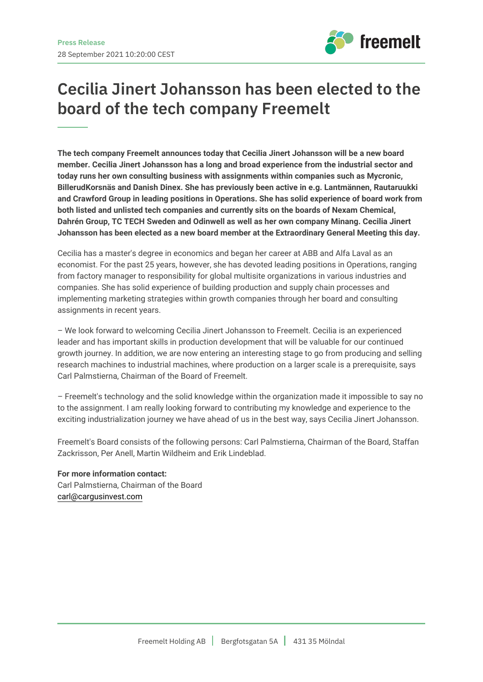

## **Cecilia Jinert Johansson has been elected to the board of the tech company Freemelt**

**The tech company Freemelt announces today that Cecilia Jinert Johansson will be a new board member. Cecilia Jinert Johansson has a long and broad experience from the industrial sector and today runs her own consulting business with assignments within companies such as Mycronic, BillerudKorsnäs and Danish Dinex. She has previously been active in e.g. Lantmännen, Rautaruukki and Crawford Group in leading positions in Operations. She has solid experience of board work from both listed and unlisted tech companies and currently sits on the boards of Nexam Chemical, Dahrén Group, TC TECH Sweden and Odinwell as well as her own company Minang. Cecilia Jinert Johansson has been elected as a new board member at the Extraordinary General Meeting this day.**

Cecilia has a master's degree in economics and began her career at ABB and Alfa Laval as an economist. For the past 25 years, however, she has devoted leading positions in Operations, ranging from factory manager to responsibility for global multisite organizations in various industries and companies. She has solid experience of building production and supply chain processes and implementing marketing strategies within growth companies through her board and consulting assignments in recent years.

– We look forward to welcoming Cecilia Jinert Johansson to Freemelt. Cecilia is an experienced leader and has important skills in production development that will be valuable for our continued growth journey. In addition, we are now entering an interesting stage to go from producing and selling research machines to industrial machines, where production on a larger scale is a prerequisite, says Carl Palmstierna, Chairman of the Board of Freemelt.

– Freemelt's technology and the solid knowledge within the organization made it impossible to say no to the assignment. I am really looking forward to contributing my knowledge and experience to the exciting industrialization journey we have ahead of us in the best way, says Cecilia Jinert Johansson.

Freemelt's Board consists of the following persons: Carl Palmstierna, Chairman of the Board, Staffan Zackrisson, Per Anell, Martin Wildheim and Erik Lindeblad.

**For more information contact:** Carl Palmstierna, Chairman of the Board carl@cargusinvest.com